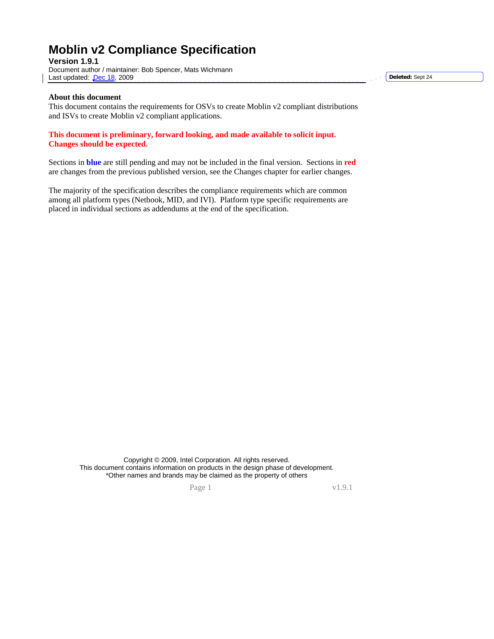# **Moblin v2 Compliance Specification**

**Version 1.9.1**  Document author / maintainer: Bob Spencer, Mats Wichmann Last updated: Dec 18, 2009

**Deleted:** Sept 24

#### **About this document**

This document contains the requirements for OSVs to create Moblin v2 compliant distributions and ISVs to create Moblin v2 compliant applications.

#### **This document is preliminary, forward looking, and made available to solicit input. Changes should be expected.**

Sections in **blue** are still pending and may not be included in the final version. Sections in **red** are changes from the previous published version, see the Changes chapter for earlier changes.

The majority of the specification describes the compliance requirements which are common among all platform types (Netbook, MID, and IVI). Platform type specific requirements are placed in individual sections as addendums at the end of the specification.

> Copyright © 2009, Intel Corporation. All rights reserved. This document contains information on products in the design phase of development. \*Other names and brands may be claimed as the property of others

Page 1 v1.9.1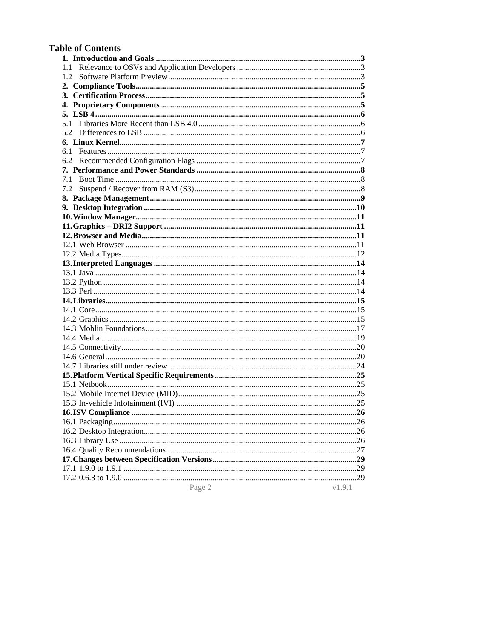## **Table of Contents**

| 1.2    |        |
|--------|--------|
|        |        |
|        |        |
|        |        |
|        |        |
|        |        |
|        |        |
|        |        |
| 6.1    |        |
|        |        |
|        |        |
| 7.1    |        |
| 7.2    |        |
|        |        |
|        |        |
|        |        |
|        |        |
|        |        |
|        |        |
|        |        |
|        |        |
|        |        |
|        |        |
|        |        |
|        |        |
|        |        |
|        |        |
|        |        |
|        |        |
|        |        |
|        |        |
|        |        |
|        |        |
|        |        |
|        |        |
|        |        |
|        |        |
|        |        |
|        |        |
|        |        |
|        |        |
|        |        |
|        |        |
|        |        |
| Page 2 | v1.9.1 |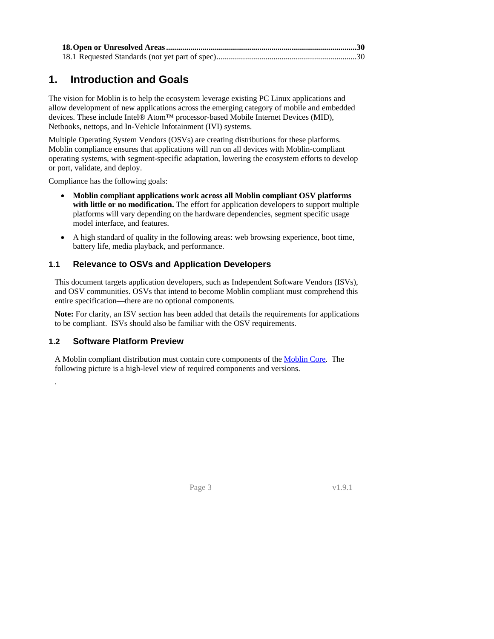<span id="page-2-0"></span>

## **1. Introduction and Goals**

<span id="page-2-1"></span>The vision for Moblin is to help the ecosystem leverage existing PC Linux applications and allow development of new applications across the emerging category of mobile and embedded devices. These include Intel® Atom™ processor-based Mobile Internet Devices (MID), Netbooks, nettops, and In-Vehicle Infotainment (IVI) systems.

Multiple Operating System Vendors (OSVs) are creating distributions for these platforms. Moblin compliance ensures that applications will run on all devices with Moblin-compliant operating systems, with segment-specific adaptation, lowering the ecosystem efforts to develop or port, validate, and deploy.

Compliance has the following goals:

- **Moblin compliant applications work across all Moblin compliant OSV platforms with little or no modification.** The effort for application developers to support multiple platforms will vary depending on the hardware dependencies, segment specific usage model interface, and features.
- A high standard of quality in the following areas: web browsing experience, boot time, battery life, media playback, and performance.

#### **1.1 Relevance to OSVs and Application Developers**

This document targets application developers, such as Independent Software Vendors (ISVs), and OSV communities. OSVs that intend to become Moblin compliant must comprehend this entire specification—there are no optional components.

**Note:** For clarity, an ISV section has been added that details the requirements for applications to be compliant. ISVs should also be familiar with the OSV requirements.

#### <span id="page-2-2"></span>**1.2 Software Platform Preview**

<span id="page-2-3"></span>.

A Moblin compliant distribution must contain core components of the [Moblin Core.](http://moblin.org/documentation/moblin-overview/moblin-core) The following picture is a high-level view of required components and versions.

**Page 3** v1.9.1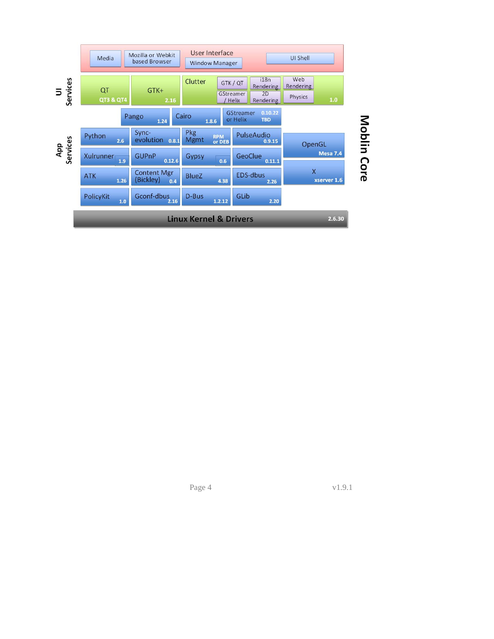

Page 4 v1.9.1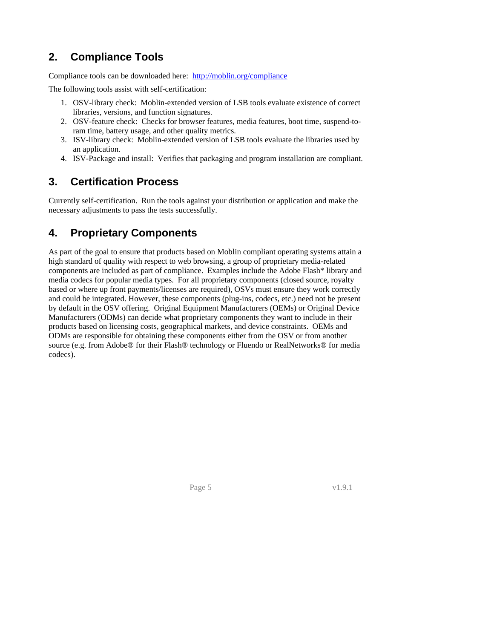# <span id="page-4-0"></span>**2. Compliance Tools**

<span id="page-4-1"></span>Compliance tools can be downloaded here: <http://moblin.org/compliance>

The following tools assist with self-certification:

- 1. OSV-library check: Moblin-extended version of LSB tools evaluate existence of correct libraries, versions, and function signatures.
- 2. OSV-feature check: Checks for browser features, media features, boot time, suspend-toram time, battery usage, and other quality metrics.
- 3. ISV-library check: Moblin-extended version of LSB tools evaluate the libraries used by an application.
- 4. ISV-Package and install: Verifies that packaging and program installation are compliant.

# **3. Certification Process**

<span id="page-4-2"></span>Currently self-certification. Run the tools against your distribution or application and make the necessary adjustments to pass the tests successfully.

# **4. Proprietary Components**

<span id="page-4-4"></span><span id="page-4-3"></span>As part of the goal to ensure that products based on Moblin compliant operating systems attain a high standard of quality with respect to web browsing, a group of proprietary media-related components are included as part of compliance. Examples include the Adobe Flash\* library and media codecs for popular media types. For all proprietary components (closed source, royalty based or where up front payments/licenses are required), OSVs must ensure they work correctly and could be integrated. However, these components (plug-ins, codecs, etc.) need not be present by default in the OSV offering. Original Equipment Manufacturers (OEMs) or Original Device Manufacturers (ODMs) can decide what proprietary components they want to include in their products based on licensing costs, geographical markets, and device constraints. OEMs and ODMs are responsible for obtaining these components either from the OSV or from another source (e.g. from Adobe® for their Flash® technology or Fluendo or RealNetworks® for media codecs).

 $Page 5$  v1.9.1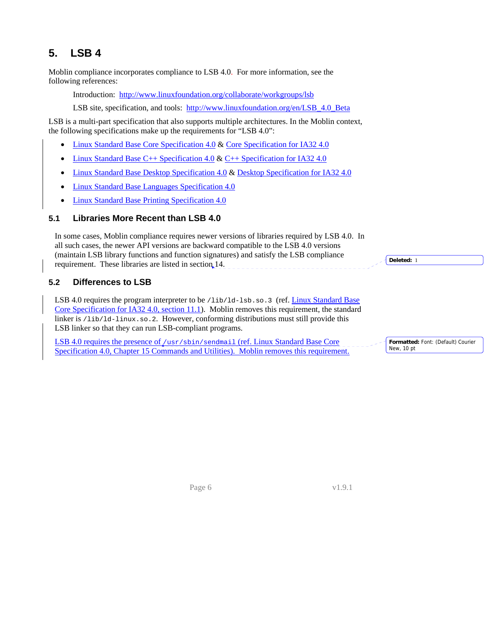# <span id="page-5-0"></span>**5. LSB 4**

<span id="page-5-1"></span>Moblin compliance incorporates compliance to LSB 4.0. For more information, see the following references:

Introduction: <http://www.linuxfoundation.org/collaborate/workgroups/lsb>

LSB site, specification, and tools: http://www.linuxfoundation.org/en/LSB 4.0 Beta

LSB is a multi-part specification that also supports multiple architectures. In the Moblin context, the following specifications make up the requirements for "LSB 4.0":

- [Linux Standard Base Core Specification 4.0](http://refspecs.linuxfoundation.org/LSB_4.0.0/LSB-Core-generic/LSB-Core-generic.html) & [Core Specification for IA32 4.0](http://refspecs.linuxfoundation.org/LSB_4.0.0/LSB-Core-IA32/LSB-Core-IA32.html)
- [Linux Standard Base C++ Specification 4.0](http://refspecs.linuxfoundation.org/LSB_4.0.0/LSB-CXX-generic/LSB-CXX-generic.html) & [C++ Specification for IA32 4.0](http://refspecs.linuxfoundation.org/LSB_4.0.0/LSB-CXX-IA32/LSB-CXX-IA32.html)
- [Linux Standard Base Desktop Specification 4.0](http://refspecs.linuxfoundation.org/LSB_4.0.0/LSB-Desktop-generic/LSB-Desktop-generic.html) & [Desktop Specification for IA32 4.0](http://refspecs.linuxfoundation.org/LSB_4.0.0/LSB-Desktop-IA32/LSB-Desktop-IA32.html)
- [Linux Standard Base Languages Specification 4.0](http://refspecs.linuxfoundation.org/LSB_4.0.0/LSB-Languages/LSB-Languages.html)
- [Linux Standard Base Printing Specification 4.0](http://refspecs.linuxfoundation.org/LSB_4.0.0/LSB-Printing/LSB-Printing.html)

#### **5.1 Libraries More Recent than LSB 4.0**

In some cases, Moblin compliance requires newer versions of libraries required by LSB 4.0. In all such cases, the newer API versions are backward compatible to the LSB 4.0 versions (maintain LSB library functions and function signatures) and satisfy the LSB compliance requirement. These libraries are listed in section [14](#page-14-1).

#### <span id="page-5-2"></span>**5.2 Differences to LSB**

LSB 4.0 requires the program interpreter to be /lib/ld-lsb.so.3 (ref. Linux Standard Base [Core Specification for IA32 4.0, section 11.1](http://refspecs.linuxfoundation.org/LSB_4.0.0/LSB-Core-IA32/LSB-Core-IA32/baselib.html#PROGINTERP)). Moblin removes this requirement, the standard linker is /lib/ld-linux.so.2. However, conforming distributions must still provide this LSB linker so that they can run LSB-compliant programs.

<span id="page-5-3"></span>LSB 4.0 requires the presence of /usr/sbin/sendmail (ref. Linux Standard Base Core Specification 4.0, Chapter 15 Commands and Utilities). Moblin removes this requirement. **Formatted:** Font: (Default) Courier

New, 10 pt

**Deleted:** 1

 $Page 6$  v1.9.1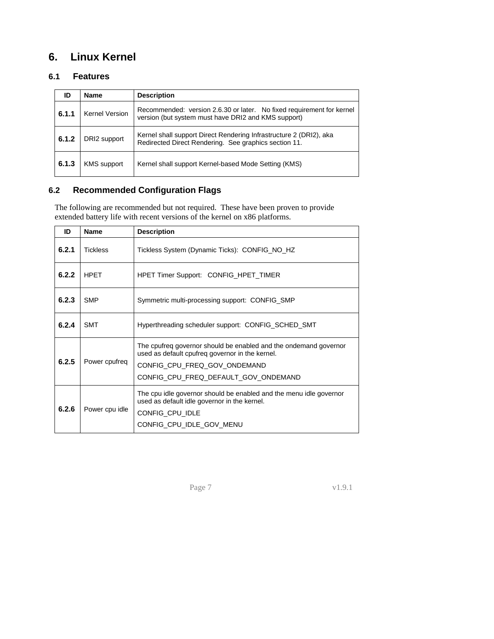# <span id="page-6-0"></span>**6. Linux Kernel**

## <span id="page-6-1"></span>**6.1 Features**

<span id="page-6-2"></span>

| ID    | <b>Name</b>           | <b>Description</b>                                                                                                           |
|-------|-----------------------|------------------------------------------------------------------------------------------------------------------------------|
| 6.1.1 | <b>Kernel Version</b> | Recommended: version 2.6.30 or later. No fixed requirement for kernel<br>version (but system must have DRI2 and KMS support) |
| 6.1.2 | DRI2 support          | Kernel shall support Direct Rendering Infrastructure 2 (DRI2), aka<br>Redirected Direct Rendering. See graphics section 11.  |
| 6.1.3 | <b>KMS</b> support    | Kernel shall support Kernel-based Mode Setting (KMS)                                                                         |

#### **6.2 Recommended Configuration Flags**

The following are recommended but not required. These have been proven to provide extended battery life with recent versions of the kernel on x86 platforms.

<span id="page-6-3"></span>

| ID    | <b>Name</b>     | <b>Description</b>                                                                                                                                                                          |
|-------|-----------------|---------------------------------------------------------------------------------------------------------------------------------------------------------------------------------------------|
| 6.2.1 | <b>Tickless</b> | Tickless System (Dynamic Ticks): CONFIG_NO_HZ                                                                                                                                               |
| 6.2.2 | <b>HPET</b>     | <b>HPET Timer Support: CONFIG_HPET_TIMER</b>                                                                                                                                                |
| 6.2.3 | <b>SMP</b>      | Symmetric multi-processing support: CONFIG_SMP                                                                                                                                              |
| 6.2.4 | <b>SMT</b>      | Hyperthreading scheduler support: CONFIG_SCHED_SMT                                                                                                                                          |
| 6.2.5 | Power cpufreq   | The cpufreq governor should be enabled and the ondemand governor<br>used as default cpufreq governor in the kernel.<br>CONFIG CPU FREQ GOV ONDEMAND<br>CONFIG CPU FREQ DEFAULT GOV ONDEMAND |
| 6.2.6 | Power cpu idle  | The cpu idle governor should be enabled and the menu idle governor<br>used as default idle governor in the kernel.<br>CONFIG CPU IDLE<br>CONFIG_CPU_IDLE_GOV_MENU                           |

Page 7 v1.9.1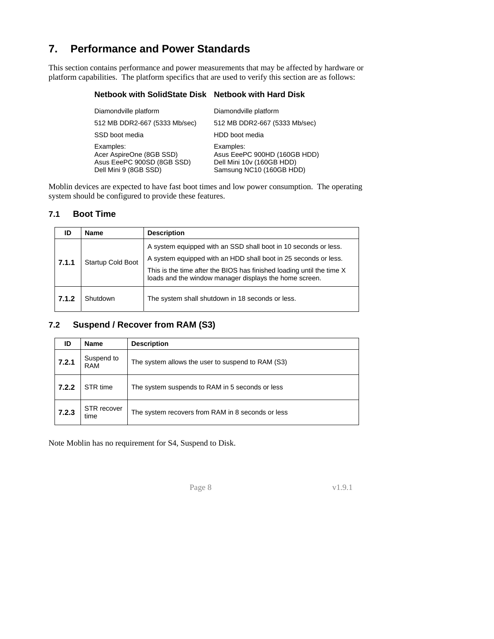# <span id="page-7-1"></span><span id="page-7-0"></span>**7. Performance and Power Standards**

This section contains performance and power measurements that may be affected by hardware or platform capabilities. The platform specifics that are used to verify this section are as follows:

#### **Netbook with SolidState Disk Netbook with Hard Disk**

| Diamondville platform                                                                        | Diamondville platform                                                                              |
|----------------------------------------------------------------------------------------------|----------------------------------------------------------------------------------------------------|
| 512 MB DDR2-667 (5333 Mb/sec)                                                                | 512 MB DDR2-667 (5333 Mb/sec)                                                                      |
| SSD boot media                                                                               | HDD boot media                                                                                     |
| Examples:<br>Acer AspireOne (8GB SSD)<br>Asus EeePC 900SD (8GB SSD)<br>Dell Mini 9 (8GB SSD) | Examples:<br>Asus EeePC 900HD (160GB HDD)<br>Dell Mini 10v (160GB HDD)<br>Samsung NC10 (160GB HDD) |

Moblin devices are expected to have fast boot times and low power consumption. The operating system should be configured to provide these features.

#### **7.1 Boot Time**

<span id="page-7-2"></span>

| ID    | <b>Name</b>              | <b>Description</b>                                                                                                                                                                                                                                                    |
|-------|--------------------------|-----------------------------------------------------------------------------------------------------------------------------------------------------------------------------------------------------------------------------------------------------------------------|
| 7.1.1 | <b>Startup Cold Boot</b> | A system equipped with an SSD shall boot in 10 seconds or less.<br>A system equipped with an HDD shall boot in 25 seconds or less.<br>This is the time after the BIOS has finished loading until the time X<br>loads and the window manager displays the home screen. |
| 7.1.2 | Shutdown                 | The system shall shutdown in 18 seconds or less.                                                                                                                                                                                                                      |

## **7.2 Suspend / Recover from RAM (S3)**

<span id="page-7-3"></span>

| ID    | Name                     | <b>Description</b>                                |
|-------|--------------------------|---------------------------------------------------|
| 7.2.1 | Suspend to<br><b>RAM</b> | The system allows the user to suspend to RAM (S3) |
| 7.2.2 | STR time                 | The system suspends to RAM in 5 seconds or less   |
| 7.2.3 | STR recover<br>time      | The system recovers from RAM in 8 seconds or less |

Note Moblin has no requirement for S4, Suspend to Disk.

**Page 8** v1.9.1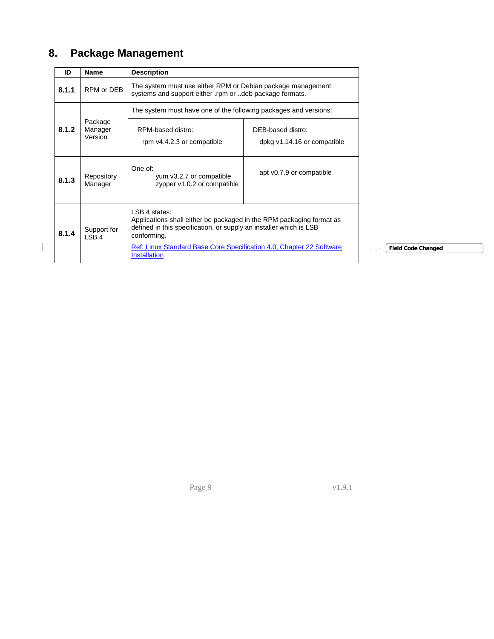# <span id="page-8-1"></span><span id="page-8-0"></span>**8. Package Management**

 $\overline{\phantom{a}}$ 

| ID    | <b>Name</b>                     | <b>Description</b>                                                                                                                                                                                                                                                        |                                                  |
|-------|---------------------------------|---------------------------------------------------------------------------------------------------------------------------------------------------------------------------------------------------------------------------------------------------------------------------|--------------------------------------------------|
| 8.1.1 | RPM or DEB                      | The system must use either RPM or Debian package management<br>systems and support either rpm or deb package formats.                                                                                                                                                     |                                                  |
|       |                                 | The system must have one of the following packages and versions:                                                                                                                                                                                                          |                                                  |
| 8.1.2 | Package<br>Manager<br>Version   | RPM-based distro:<br>rpm v4.4.2.3 or compatible                                                                                                                                                                                                                           | DEB-based distro:<br>dpkg v1.14.16 or compatible |
| 8.1.3 | Repository<br>Manager           | One of:<br>yum v3.2.7 or compatible<br>zypper v1.0.2 or compatible                                                                                                                                                                                                        | apt v0.7.9 or compatible                         |
| 8.1.4 | Support for<br>LSB <sub>4</sub> | LSB 4 states:<br>Applications shall either be packaged in the RPM packaging format as<br>defined in this specification, or supply an installer which is LSB<br>conforming.<br>Ref: Linux Standard Base Core Specification 4.0, Chapter 22 Software<br><b>Installation</b> |                                                  |

**Changed** 

<span id="page-8-2"></span> $Page 9$  v1.9.1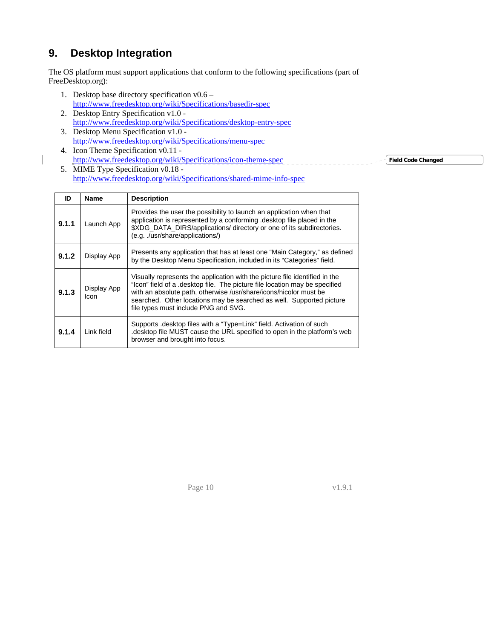# <span id="page-9-0"></span>**9. Desktop Integration**

<span id="page-9-1"></span>The OS platform must support applications that conform to the following specifications (part of FreeDesktop.org):

- 1. Desktop base directory specification v0.6 <http://www.freedesktop.org/wiki/Specifications/basedir-spec>
- 2. Desktop Entry Specification v1.0 <http://www.freedesktop.org/wiki/Specifications/desktop-entry-spec>
- 3. Desktop Menu Specification v1.0 <http://www.freedesktop.org/wiki/Specifications/menu-spec> 4. Icon Theme Specification v0.11 -
- <http://www.freedesktop.org/wiki/Specifications/icon-theme-spec> 5. MIME Type Specification v0.18 <http://www.freedesktop.org/wiki/Specifications/shared-mime-info-spec> **Field Code Changed**

<span id="page-9-2"></span>

| ID    | <b>Name</b>         | <b>Description</b>                                                                                                                                                                                                                                                                                                                              |
|-------|---------------------|-------------------------------------------------------------------------------------------------------------------------------------------------------------------------------------------------------------------------------------------------------------------------------------------------------------------------------------------------|
| 9.1.1 | Launch App          | Provides the user the possibility to launch an application when that<br>application is represented by a conforming . desktop file placed in the<br>\$XDG DATA DIRS/applications/ directory or one of its subdirectories.<br>(e.g. ./usr/share/applications/)                                                                                    |
| 9.1.2 | Display App         | Presents any application that has at least one "Main Category," as defined<br>by the Desktop Menu Specification, included in its "Categories" field.                                                                                                                                                                                            |
| 9.1.3 | Display App<br>Icon | Visually represents the application with the picture file identified in the<br>"Icon" field of a .desktop file. The picture file location may be specified<br>with an absolute path, otherwise /usr/share/icons/hicolor must be<br>searched. Other locations may be searched as well. Supported picture<br>file types must include PNG and SVG. |
| 9.1.4 | Link field          | Supports desktop files with a "Type=Link" field. Activation of such<br>desktop file MUST cause the URL specified to open in the platform's web<br>browser and brought into focus.                                                                                                                                                               |

Page 10 v1.9.1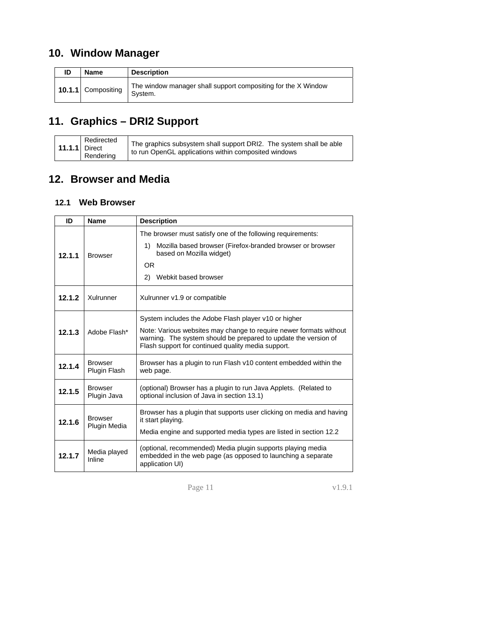# <span id="page-10-1"></span><span id="page-10-0"></span>**10. Window Manager**

| ID | <b>Name</b>        | <b>Description</b>                                                       |
|----|--------------------|--------------------------------------------------------------------------|
|    | 10.1.1 Compositing | The window manager shall support compositing for the X Window<br>System. |

# **11. Graphics – DRI2 Support**

<span id="page-10-2"></span>

| $\vert$ 11.1.1 Direct | Redirected<br>Rendering | The graphics subsystem shall support DRI2. The system shall be able<br>to run OpenGL applications within composited windows |
|-----------------------|-------------------------|-----------------------------------------------------------------------------------------------------------------------------|
|-----------------------|-------------------------|-----------------------------------------------------------------------------------------------------------------------------|

# **12. Browser and Media**

## <span id="page-10-3"></span>**12.1 Web Browser**

<span id="page-10-4"></span>

| ID     | <b>Name</b>                    | <b>Description</b>                                                                                                                                                                                                                                  |
|--------|--------------------------------|-----------------------------------------------------------------------------------------------------------------------------------------------------------------------------------------------------------------------------------------------------|
| 12.1.1 | <b>Browser</b>                 | The browser must satisfy one of the following requirements:<br>Mozilla based browser (Firefox-branded browser or browser<br>1)<br>based on Mozilla widget)<br>OR.<br>2)<br>Webkit based browser                                                     |
| 12.1.2 | Xulrunner                      | Xulrunner v1.9 or compatible                                                                                                                                                                                                                        |
| 12.1.3 | Adobe Flash*                   | System includes the Adobe Flash player v10 or higher<br>Note: Various websites may change to require newer formats without<br>warning. The system should be prepared to update the version of<br>Flash support for continued quality media support. |
| 12.1.4 | <b>Browser</b><br>Plugin Flash | Browser has a plugin to run Flash v10 content embedded within the<br>web page.                                                                                                                                                                      |
| 12.1.5 | <b>Browser</b><br>Plugin Java  | (optional) Browser has a plugin to run Java Applets. (Related to<br>optional inclusion of Java in section 13.1)                                                                                                                                     |
| 12.1.6 | <b>Browser</b><br>Plugin Media | Browser has a plugin that supports user clicking on media and having<br>it start playing.<br>Media engine and supported media types are listed in section 12.2                                                                                      |
| 12.1.7 | Media played<br>Inline         | (optional, recommended) Media plugin supports playing media<br>embedded in the web page (as opposed to launching a separate<br>application UI)                                                                                                      |

Page 11 v1.9.1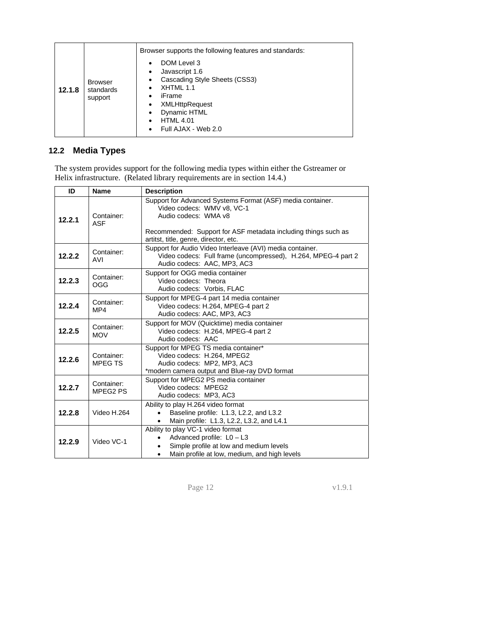<span id="page-11-0"></span>

| 12.1.8 | <b>Browser</b><br>standards<br>support | Browser supports the following features and standards:<br>DOM Level 3<br>$\bullet$<br>Javascript 1.6<br>٠<br>Cascading Style Sheets (CSS3)<br>٠<br>XHTML 1.1<br>٠<br>iFrame<br>٠<br><b>XMLHttpRequest</b><br>٠<br>Dynamic HTML<br>٠<br><b>HTML 4.01</b><br>$\bullet$<br>Full AJAX - Web 2.0<br>٠ |
|--------|----------------------------------------|--------------------------------------------------------------------------------------------------------------------------------------------------------------------------------------------------------------------------------------------------------------------------------------------------|
|--------|----------------------------------------|--------------------------------------------------------------------------------------------------------------------------------------------------------------------------------------------------------------------------------------------------------------------------------------------------|

## **12.2 Media Types**

<span id="page-11-1"></span>The system provides support for the following media types within either the Gstreamer or Helix infrastructure. (Related library requirements are in section [14.4.](#page-18-1))

| ID     | <b>Name</b>                  | <b>Description</b>                                                                                                                                                                                                          |  |  |
|--------|------------------------------|-----------------------------------------------------------------------------------------------------------------------------------------------------------------------------------------------------------------------------|--|--|
| 12.2.1 | Container:<br><b>ASF</b>     | Support for Advanced Systems Format (ASF) media container.<br>Video codecs: WMV v8, VC-1<br>Audio codecs: WMA v8<br>Recommended: Support for ASF metadata including things such as<br>artitst, title, genre, director, etc. |  |  |
| 12.2.2 | Container:<br>AVI            | Support for Audio Video Interleave (AVI) media container.<br>Video codecs: Full frame (uncompressed), H.264, MPEG-4 part 2<br>Audio codecs: AAC, MP3, AC3                                                                   |  |  |
| 12.2.3 | Container:<br>OGG            | Support for OGG media container<br>Video codecs: Theora<br>Audio codecs: Vorbis, FLAC                                                                                                                                       |  |  |
| 12.2.4 | Container:<br>MP4            | Support for MPEG-4 part 14 media container<br>Video codecs: H.264. MPEG-4 part 2<br>Audio codecs: AAC, MP3, AC3                                                                                                             |  |  |
| 12.2.5 | Container:<br><b>MOV</b>     | Support for MOV (Quicktime) media container<br>Video codecs: H.264, MPEG-4 part 2<br>Audio codecs: AAC                                                                                                                      |  |  |
| 12.2.6 | Container:<br><b>MPEG TS</b> | Support for MPEG TS media container*<br>Video codecs: H.264, MPEG2<br>Audio codecs: MP2, MP3, AC3<br>*modern camera output and Blue-ray DVD format                                                                          |  |  |
| 12.2.7 | Container:<br>MPEG2 PS       | Support for MPEG2 PS media container<br>Video codecs: MPEG2<br>Audio codecs: MP3, AC3                                                                                                                                       |  |  |
| 12.2.8 | Video H.264                  | Ability to play H.264 video format<br>Baseline profile: L1.3, L2.2, and L3.2<br>Main profile: L1.3, L2.2, L3.2, and L4.1                                                                                                    |  |  |
| 12.2.9 | Video VC-1                   | Ability to play VC-1 video format<br>Advanced profile: L0 - L3<br>Simple profile at low and medium levels<br>Main profile at low, medium, and high levels                                                                   |  |  |

Page 12 v1.9.1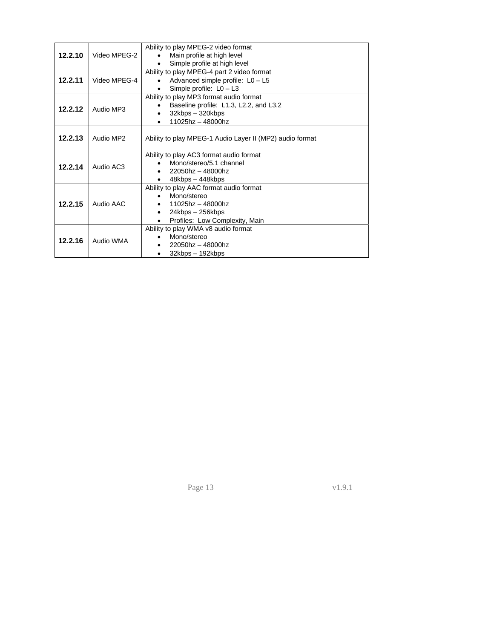|         |                                         | Ability to play MPEG-2 video format                      |
|---------|-----------------------------------------|----------------------------------------------------------|
| 12.2.10 | Video MPEG-2                            | Main profile at high level                               |
|         |                                         | Simple profile at high level                             |
|         |                                         | Ability to play MPEG-4 part 2 video format               |
| 12.2.11 | Video MPEG-4                            | Advanced simple profile: $L0 - L5$                       |
|         |                                         | Simple profile: $L0 - L3$<br>٠                           |
|         | Ability to play MP3 format audio format |                                                          |
| 12.2.12 |                                         | Baseline profile: L1.3, L2.2, and L3.2<br>$\bullet$      |
|         | Audio MP3                               | 32kbps - 320kbps                                         |
|         |                                         | 11025hz - 48000hz                                        |
|         |                                         |                                                          |
| 12.2.13 | Audio MP2                               | Ability to play MPEG-1 Audio Layer II (MP2) audio format |
|         |                                         |                                                          |
|         |                                         | Ability to play AC3 format audio format                  |
| 12.2.14 | Audio AC3                               | Mono/stereo/5.1 channel                                  |
|         |                                         | $22050$ hz - 48000hz                                     |
|         |                                         | $48kbps - 448kbps$                                       |
|         |                                         | Ability to play AAC format audio format                  |
|         | Audio AAC                               | Mono/stereo                                              |
| 12.2.15 |                                         | $11025$ hz - 48000hz                                     |
|         |                                         | 24kbps - 256kbps<br>$\bullet$                            |
|         |                                         | Profiles: Low Complexity, Main<br>$\bullet$              |
|         |                                         | Ability to play WMA v8 audio format                      |
| 12.2.16 | Audio WMA                               | Mono/stereo                                              |
|         |                                         | 22050hz - 48000hz                                        |
|         |                                         | 32kbps - 192kbps                                         |

Page 13 v1.9.1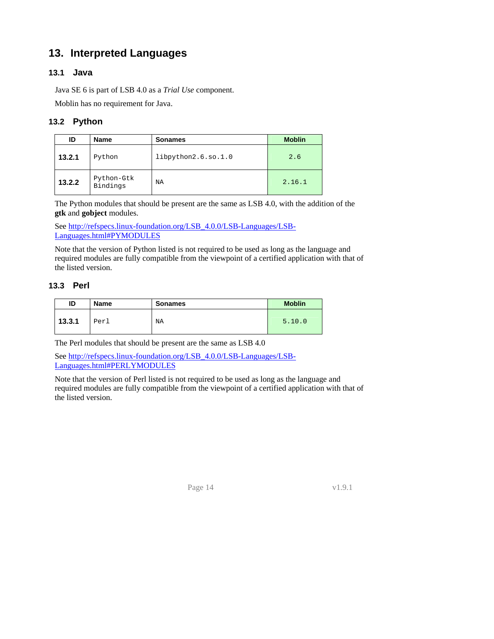# <span id="page-13-0"></span>**13. Interpreted Languages**

#### <span id="page-13-2"></span><span id="page-13-1"></span>**13.1 Java**

Java SE 6 is part of LSB 4.0 as a *Trial Use* component.

Moblin has no requirement for Java.

### **13.2 Python**

<span id="page-13-3"></span>

| ID     | <b>Name</b>            | <b>Sonames</b>      | <b>Moblin</b> |
|--------|------------------------|---------------------|---------------|
| 13.2.1 | Python                 | libpython2.6.so.1.0 | 2.6           |
| 13.2.2 | Python-Gtk<br>Bindings | NA                  | 2.16.1        |

The Python modules that should be present are the same as LSB 4.0, with the addition of the **gtk** and **gobject** modules.

See [http://refspecs.linux-foundation.org/LSB\\_4.0.0/LSB-Languages/LSB-](http://refspecs.linux-foundation.org/LSB_4.0.0/LSB-Languages/LSB-Languages.html#PYMODULES)[Languages.html#PYMODULES](http://refspecs.linux-foundation.org/LSB_4.0.0/LSB-Languages/LSB-Languages.html#PYMODULES)

Note that the version of Python listed is not required to be used as long as the language and required modules are fully compatible from the viewpoint of a certified application with that of the listed version.

#### **13.3 Perl**

| ID     | Name | <b>Sonames</b> | <b>Moblin</b> |
|--------|------|----------------|---------------|
| 13.3.1 | Perl | NA             | 5.10.0        |

<span id="page-13-4"></span>The Perl modules that should be present are the same as LSB 4.0

See [http://refspecs.linux-foundation.org/LSB\\_4.0.0/LSB-Languages/LSB-](http://refspecs.linux-foundation.org/LSB_4.0.0/LSB-Languages/LSB-Languages.html#PERLYMODULES)[Languages.html#PERLYMODULES](http://refspecs.linux-foundation.org/LSB_4.0.0/LSB-Languages/LSB-Languages.html#PERLYMODULES)

Note that the version of Perl listed is not required to be used as long as the language and required modules are fully compatible from the viewpoint of a certified application with that of the listed version.

Page 14 v1.9.1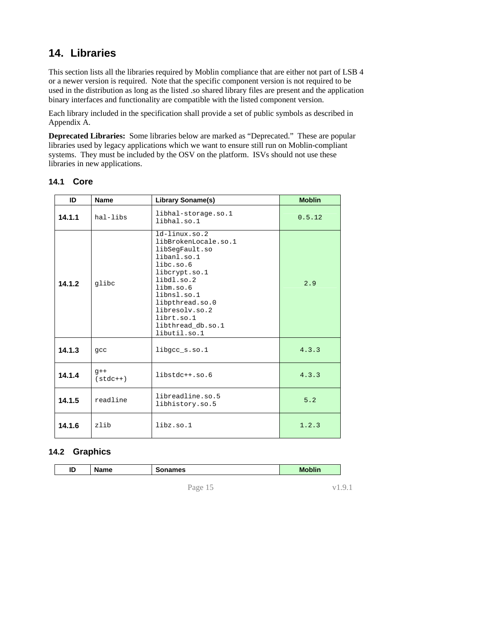# <span id="page-14-0"></span>**14. Libraries**

<span id="page-14-1"></span>This section lists all the libraries required by Moblin compliance that are either not part of LSB 4 or a newer version is required. Note that the specific component version is not required to be used in the distribution as long as the listed .so shared library files are present and the application binary interfaces and functionality are compatible with the listed component version.

Each library included in the specification shall provide a set of public symbols as described in Appendix A.

**Deprecated Libraries:** Some libraries below are marked as "Deprecated." These are popular libraries used by legacy applications which we want to ensure still run on Moblin-compliant systems. They must be included by the OSV on the platform. ISVs should not use these libraries in new applications.

#### **14.1 Core**

<span id="page-14-2"></span>

| ID     | <b>Name</b><br>Library Soname(s)                                                                                                                                                                                                                   |                                     | <b>Moblin</b> |
|--------|----------------------------------------------------------------------------------------------------------------------------------------------------------------------------------------------------------------------------------------------------|-------------------------------------|---------------|
| 14.1.1 | hal-libs                                                                                                                                                                                                                                           | libhal-storage.so.1<br>libhal.so.1  | 0.5.12        |
| 14.1.2 | $ld$ -linux.so.2<br>libBrokenLocale.so.1<br>libSegFault.so<br>libanl.so.1<br>libc.so.6<br>libcrypt.so.1<br>libdl.so.2<br>glibc<br>libm.so.6<br>libnsl.so.1<br>libpthread.so.0<br>libresoly.so.2<br>librt.so.1<br>libthread db.so.1<br>libutil.so.1 |                                     | 2.9           |
| 14.1.3 | gcc                                                                                                                                                                                                                                                | libgcc_s.so.1                       | 4.3.3         |
| 14.1.4 | $q++$<br>$(stat++)$                                                                                                                                                                                                                                | $libstdc++.so.6$                    | 4.3.3         |
| 14.1.5 | readline                                                                                                                                                                                                                                           | libreadline.so.5<br>libhistory.so.5 | 5.2           |
| 14.1.6 | zlib                                                                                                                                                                                                                                               | libz.so.1                           | 1.2.3         |

#### **14.2 Graphics**

|  | ID | √ame | names<br>. . | <b>Moblin</b> |
|--|----|------|--------------|---------------|
|--|----|------|--------------|---------------|

<span id="page-14-3"></span>Page 15 v1.9.1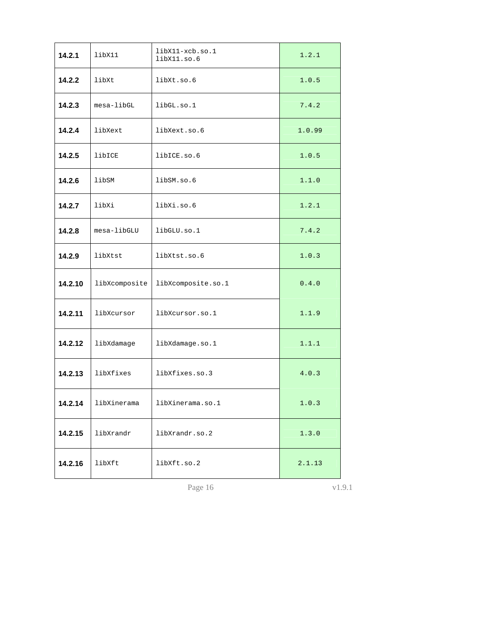| 14.2.1  | libX11        | libX11-xcb.so.1<br>libX11.so.6 | 1.2.1  |  |
|---------|---------------|--------------------------------|--------|--|
| 14.2.2  | libXt         | libXt.so.6                     | 1.0.5  |  |
| 14.2.3  | mesa-libGL    | libGL.so.1<br>7.4.2            |        |  |
| 14.2.4  | libXext       | libXext.so.6                   | 1.0.99 |  |
| 14.2.5  | libICE        | libICE.so.6                    |        |  |
| 14.2.6  | libSM         | libSM.so.6                     | 1.1.0  |  |
| 14.2.7  | libXi         | libXi.so.6                     | 1.2.1  |  |
| 14.2.8  | mesa-libGLU   | libGLU.so.1                    | 7.4.2  |  |
| 14.2.9  | libXtst       | libXtst.so.6                   | 1.0.3  |  |
| 14.2.10 | libXcomposite | libXcomposite.so.1             | 0.4.0  |  |
| 14.2.11 | libXcursor    | libXcursor.so.1                | 1.1.9  |  |
| 14.2.12 | libXdamage    | libXdamage.so.1                | 1.1.1  |  |
| 14.2.13 | libXfixes     | libXfixes.so.3                 | 4.0.3  |  |
| 14.2.14 | libXinerama   | libXinerama.so.1               |        |  |
| 14.2.15 | libXrandr     | libXrandr.so.2                 | 1.3.0  |  |
| 14.2.16 | libXft        | libXft.so.2                    | 2.1.13 |  |

Page 16 v1.9.1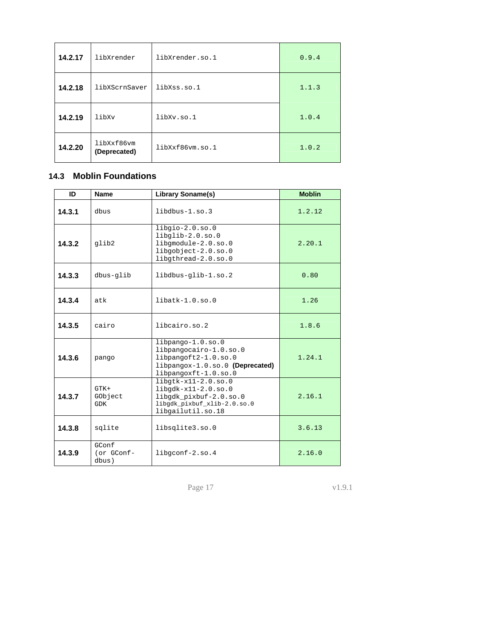<span id="page-16-0"></span>

| 14.2.17<br>libXrender |                            | libXrender.so.1 | 0.9.4 |
|-----------------------|----------------------------|-----------------|-------|
| 14.2.18               | libXScrnSaver              | libXss.so.1     | 1.1.3 |
| 14.2.19               | libXv                      | libXv.so.1      | 1.0.4 |
| 14.2.20               | libXxf86vm<br>(Deprecated) | libXxf86vm.so.1 | 1.0.2 |

## **14.3 Moblin Foundations**

<span id="page-16-1"></span>

| ID     | <b>Name</b>                                                                                                                                                     | <b>Library Soname(s)</b>                                                                                     | <b>Moblin</b> |
|--------|-----------------------------------------------------------------------------------------------------------------------------------------------------------------|--------------------------------------------------------------------------------------------------------------|---------------|
| 14.3.1 | dbus                                                                                                                                                            | libdbus-1.so.3                                                                                               | 1.2.12        |
| 14.3.2 | qlib2                                                                                                                                                           | $libgio-2.0.so.0$<br>$libqlib-2.0.so.0$<br>libgmodule-2.0.so.0<br>libgobject-2.0.so.0<br>libgthread-2.0.so.0 | 2.20.1        |
| 14.3.3 | dbus-glib                                                                                                                                                       | libdbus-glib-1.so.2                                                                                          | 0.80          |
| 14.3.4 | $libatk-1.0.so.0$<br>atk                                                                                                                                        |                                                                                                              | 1.26          |
| 14.3.5 | cairo<br>libcairo.so.2                                                                                                                                          |                                                                                                              | 1.8.6         |
| 14.3.6 | $libpanqo-1.0.so.0$<br>libpangocairo-1.0.so.0<br>libpangoft2-1.0.so.0<br>pango<br>libpangox-1.0.so.0 (Deprecated)<br>libpangoxft-1.0.so.0                       |                                                                                                              | 1.24.1        |
| 14.3.7 | $libqtk-x11-2.0.so.0$<br>$libgdk-x11-2.0.so.0$<br>$GTK+$<br>GObject<br>libgdk pixbuf-2.0.so.0<br><b>GDK</b><br>libgdk_pixbuf_xlib-2.0.so.0<br>libgailutil.so.18 |                                                                                                              | 2.16.1        |
| 14.3.8 | sqlite<br>libsqlite3.so.0                                                                                                                                       |                                                                                                              | 3.6.13        |
| 14.3.9 | GConf<br>(or GConf-<br>dbus)                                                                                                                                    | libgconf-2.so.4                                                                                              | 2.16.0        |

Page 17 v1.9.1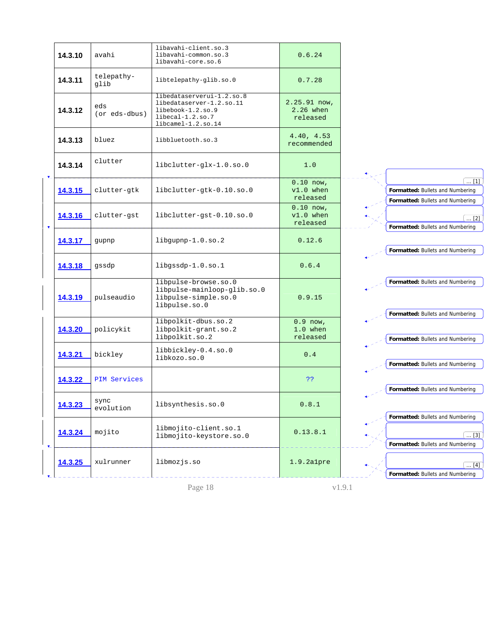|                | 14.3.10 | avahi                | libavahi-client.so.3<br>libavahi-common.so.3<br>libavahi-core.so.6                                                   | 0.6.24                                  |                                                                                      |
|----------------|---------|----------------------|----------------------------------------------------------------------------------------------------------------------|-----------------------------------------|--------------------------------------------------------------------------------------|
|                | 14.3.11 | telepathy-<br>glib   | libtelepathy-glib.so.0                                                                                               | 0.7.28                                  |                                                                                      |
|                | 14.3.12 | eds<br>(or eds-dbus) | libedataserverui-1.2.so.8<br>libedataserver-1.2.so.11<br>libebook-1.2.so.9<br>libecal-1.2.so.7<br>libcamel-1.2.so.14 | $2.25.91$ now,<br>2.26 when<br>released |                                                                                      |
|                | 14.3.13 | bluez                | libbluetooth.so.3                                                                                                    | 4.40, 4.53<br>recommended               |                                                                                      |
| $V =$          | 14.3.14 | clutter              | libclutter-glx-1.0.so.0                                                                                              | 1.0                                     |                                                                                      |
|                | 14.3.15 | clutter-gtk          | libclutter-gtk-0.10.so.0                                                                                             | $0.10$ now,<br>$v1.0$ when<br>released  | $\dots$ [1]<br>Formatted: Bullets and Numbering<br>Formatted: Bullets and Numbering  |
|                | 14.3.16 | clutter-gst          | libclutter-gst-0.10.so.0                                                                                             | $0.10$ now,<br>$v1.0$ when<br>released  | $\ldots$ [2]<br>Formatted: Bullets and Numbering                                     |
|                | 14.3.17 | gupnp                | $l$ ibgupnp-1.0.so.2                                                                                                 | 0.12.6                                  | Formatted: Bullets and Numbering                                                     |
|                | 14.3.18 | gssdp                | libgssdp-1.0.so.1                                                                                                    | 0.6.4                                   |                                                                                      |
|                | 14.3.19 | pulseaudio           | libpulse-browse.so.0<br>libpulse-mainloop-glib.so.0<br>libpulse-simple.so.0<br>libpulse.so.0                         | 0.9.15                                  | Formatted: Bullets and Numbering                                                     |
|                | 14.3.20 | policykit            | libpolkit-dbus.so.2<br>libpolkit-grant.so.2<br>libpolkit.so.2                                                        | $0.9$ now,<br>1.0 when<br>released      | Formatted: Bullets and Numbering<br>Formatted: Bullets and Numbering                 |
|                | 14.3.21 | bickley              | libbickley-0.4.so.0<br>libkozo.so.0                                                                                  | 0.4                                     | Formatted: Bullets and Numbering                                                     |
|                | 14.3.22 | <b>PIM Services</b>  |                                                                                                                      | 22                                      | Formatted: Bullets and Numbering                                                     |
|                | 14.3.23 | sync<br>evolution    | libsynthesis.so.0                                                                                                    | 0.8.1                                   |                                                                                      |
| $\mathbf{v}_-$ | 14.3.24 | mojito               | libmojito-client.so.1<br>libmojito-keystore.so.0                                                                     | 0.13.8.1                                | Formatted: Bullets and Numbering<br>$\ldots$ [3]<br>Formatted: Bullets and Numbering |
|                | 14.3.25 | xulrunner            | libmozjs.so                                                                                                          | 1.9.2alpre                              | $\ldots$ [4]<br>Formatted: Bullets and Numbering                                     |

Page 18 v1.9.1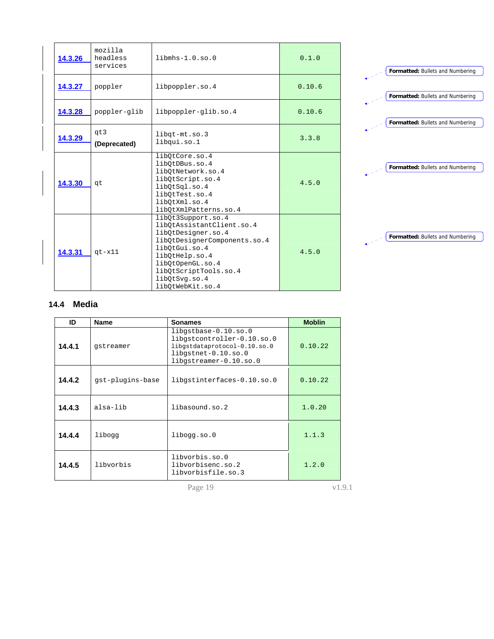<span id="page-18-0"></span>

| 14.3.26 | mozilla<br>headless<br>services | $\limh s-1.0.$ so.0                                                                                                                                                                                                        | 0.1.0  |
|---------|---------------------------------|----------------------------------------------------------------------------------------------------------------------------------------------------------------------------------------------------------------------------|--------|
| 14.3.27 | poppler                         | libpoppler.so.4                                                                                                                                                                                                            | 0.10.6 |
| 14.3.28 | poppler-glib                    | libpoppler-glib.so.4                                                                                                                                                                                                       | 0.10.6 |
| 14.3.29 | qt3<br>(Deprecated)             | libgt-mt.so.3<br>libqui.so.1                                                                                                                                                                                               | 3.3.8  |
| 14.3.30 | qt                              | libOtCore.so.4<br>libOtDBus.so.4<br>libOtNetwork.so.4<br>libOtScript.so.4<br>libQtSql.so.4<br>libOtTest.so.4<br>libOtXml.so.4<br>libOtXmlPatterns.so.4                                                                     | 4.5.0  |
| 14.3.31 | $qt - x11$                      | libOt3Support.so.4<br>libOtAssistantClient.so.4<br>libQtDesigner.so.4<br>libQtDesignerComponents.so.4<br>libOtGui.so.4<br>libQtHelp.so.4<br>libQtOpenGL.so.4<br>libQtScriptTools.so.4<br>libQtSvg.so.4<br>libOtWebKit.so.4 | 4.5.0  |



## **14.4 Media**

<span id="page-18-1"></span>

| ID                | <b>Name</b>      | <b>Sonames</b>                                                                                                                      | <b>Moblin</b> |
|-------------------|------------------|-------------------------------------------------------------------------------------------------------------------------------------|---------------|
| 14.4.1            | gstreamer        | libgstbase-0.10.so.0<br>libgstcontroller-0.10.so.0<br>libgstdataprotocol-0.10.so.0<br>libgstnet-0.10.so.0<br>libgstreamer-0.10.so.0 | 0.10.22       |
| 14.4.2            | gst-plugins-base | libgstinterfaces-0.10.so.0                                                                                                          | 0.10.22       |
| 14.4.3            | alsa-lib         | libasound.so.2                                                                                                                      | 1.0.20        |
| 14.4.4            | liboqq           | libogg.so.0                                                                                                                         | 1.1.3         |
| 14.4.5            | libvorbis        | libvorbis.so.0<br>libvorbisenc.so.2<br>libvorbisfile.so.3                                                                           | 1.2.0         |
| Page 19<br>v1.9.1 |                  |                                                                                                                                     |               |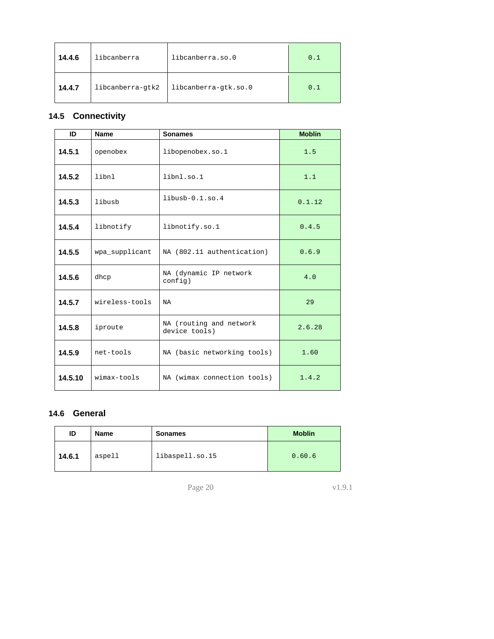<span id="page-19-0"></span>

| 14.4.6 | libcanberra      | libcanberra.so.0     | 0.1 |
|--------|------------------|----------------------|-----|
| 14.4.7 | libcanberra-gtk2 | libcanberra-gtk.so.0 | 0.1 |

# <span id="page-19-1"></span>**14.5 Connectivity**

| ID                                    | <b>Name</b>    | <b>Sonames</b>                    | <b>Moblin</b> |
|---------------------------------------|----------------|-----------------------------------|---------------|
| 14.5.1                                | openobex       | libopenobex.so.1                  | 1.5           |
| 14.5.2                                | libnl          | libnl.so.1                        | 1.1           |
| 14.5.3                                | libusb         | $libush-0.1.\text{so}.4$          | 0.1.12        |
| 14.5.4                                | libnotify      | libnotify.so.1                    | 0.4.5         |
| 14.5.5                                | wpa_supplicant | NA (802.11 authentication)        | 0.6.9         |
| 14.5.6                                | dhcp           | NA (dynamic IP network<br>config) | 4.0           |
| 14.5.7<br>wireless-tools<br><b>NA</b> |                |                                   | 29            |
| 14.5.8<br>iproute<br>device tools)    |                | NA (routing and network           | 2.6.28        |
| 14.5.9                                | net-tools      | NA (basic networking tools)       | 1.60          |
| 14.5.10                               | wimax-tools    | NA (wimax connection tools)       | 1.4.2         |

## **14.6 General**

<span id="page-19-2"></span>

| ID     | <b>Name</b> | <b>Sonames</b>  | <b>Moblin</b> |
|--------|-------------|-----------------|---------------|
| 14.6.1 | aspell      | libaspell.so.15 | 0.60.6        |

Page 20 v1.9.1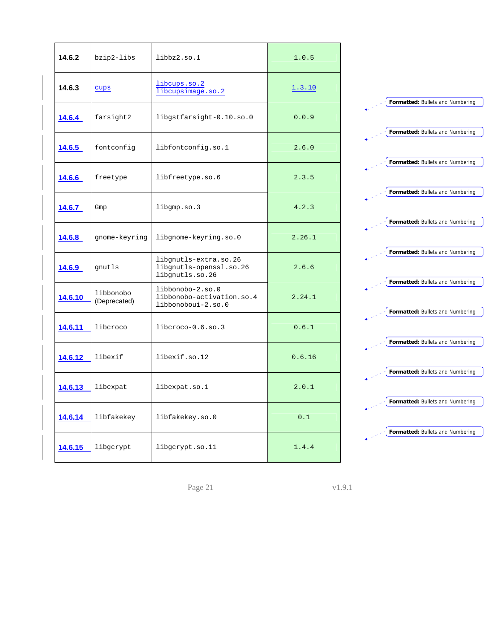| 14.6.2        | bzip2-libs                | libbz2.so.1                                                         | 1.0.5  |
|---------------|---------------------------|---------------------------------------------------------------------|--------|
| 14.6.3        | cups                      | libcups.so.2<br>libcupsimage.so.2                                   | 1.3.10 |
| 14.6.4        | farsight2                 | libgstfarsight-0.10.so.0                                            | 0.0.9  |
| 14.6.5        | fontconfig                | libfontconfig.so.1                                                  | 2.6.0  |
| 14.6.6        | freetype                  | libfreetype.so.6                                                    | 2.3.5  |
| 14.6.7        | Gmp                       | libgmp.so.3                                                         | 4.2.3  |
| 14.6.8        | gnome-keyring             | libgnome-keyring.so.0                                               | 2.26.1 |
| <u>14.6.9</u> | gnutls                    | libgnutls-extra.so.26<br>libgnutls-openssl.so.26<br>libgnutls.so.26 | 2.6.6  |
| 14.6.10       | libbonobo<br>(Deprecated) | libbonobo-2.so.0<br>libbonobo-activation.so.4<br>libbonoboui-2.so.0 | 2.24.1 |
| 14.6.11       | liberoco                  | libcroco-0.6.so.3                                                   | 0.6.1  |
| 14.6.12       | libexif                   | libexif.so.12                                                       | 0.6.16 |
| 14.6.13       | libexpat                  | libexpat.so.1                                                       | 2.0.1  |
| 14.6.14       | libfakekey                | libfakekey.so.0                                                     | 0.1    |
| 14.6.15       | libgcrypt                 | libgcrypt.so.11                                                     | 1.4.4  |



Page 21 v1.9.1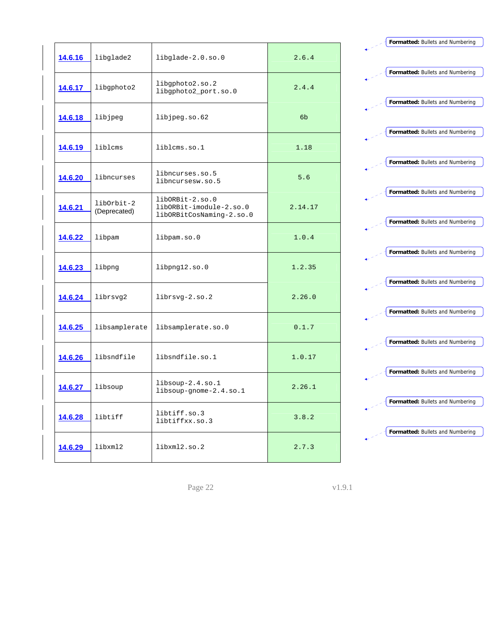| 14.6.16        | libglade2                  | libglade-2.0.so.0                                                      | 2.6.4   |
|----------------|----------------------------|------------------------------------------------------------------------|---------|
| <u>14.6.17</u> | libgphoto2                 | libgphoto2.so.2<br>libgphoto2_port.so.0                                | 2.4.4   |
| 14.6.18        | libjpeg                    | libjpeg.so.62                                                          | 6b      |
| 14.6.19        | libloms                    | liblcms.so.1                                                           | 1.18    |
| 14.6.20        | libncurses                 | libncurses.so.5<br>libncursesw.so.5                                    | 5.6     |
| <u>14.6.21</u> | libOrbit-2<br>(Deprecated) | libORBit-2.so.0<br>libORBit-imodule-2.so.0<br>libORBitCosNaming-2.so.0 | 2.14.17 |
| 14.6.22        | libpam                     | libpam.so.0                                                            | 1.0.4   |
| 14.6.23        | libpng                     | libpng12.so.0                                                          | 1.2.35  |
| 14.6.24        | librsvg2                   | $librsvq-2.so.2$                                                       | 2.26.0  |
| 14.6.25        | libsamplerate              | libsamplerate.so.0                                                     | 0.1.7   |
| 14.6.26        | libsndfile                 | libsndfile.so.1                                                        | 1.0.17  |
| 14.6.27        | libsoup                    | $libsoup-2.4.so.1$<br>libsoup-gnome-2.4.so.1                           | 2.26.1  |
| 14.6.28        | libtiff                    | libtiff.so.3<br>libtiffxx.so.3                                         | 3.8.2   |
| 14.6.29        | libxml2                    | libxm12.s0.2                                                           | 2.7.3   |



Page 22 v1.9.1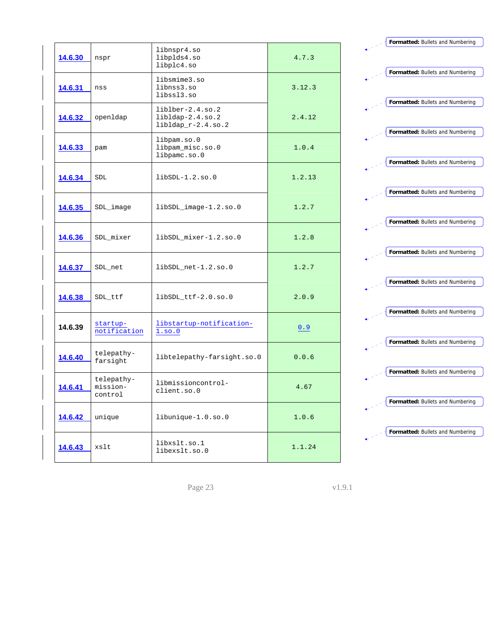| 14.6.30        | nspr                              | libnspr4.so<br>libplds4.so<br>libplc4.so                         | 4.7.3  |
|----------------|-----------------------------------|------------------------------------------------------------------|--------|
| 14.6.31        | nss                               | libsmime3.so<br>libnss3.so<br>libss13.so                         | 3.12.3 |
| 14.6.32        | openldap                          | $liblber-2.4.so.2$<br>$libldap-2.4.so.2$<br>$libldap_r-2.4.so.2$ | 2.4.12 |
| <u>14.6.33</u> | pam                               | libpam.so.0<br>libpam_misc.so.0<br>libpamc.so.0                  | 1.0.4  |
| 14.6.34        | <b>SDL</b>                        | $libSDL-1.2.so.0$                                                | 1.2.13 |
| <u>14.6.35</u> | SDL_image                         | libSDL_image-1.2.so.0                                            | 1.2.7  |
| 14.6.36        | SDL_mixer                         | libSDL_mixer-1.2.so.0                                            | 1.2.8  |
| 14.6.37        | SDL_net                           | libSDL_net-1.2.so.0                                              | 1.2.7  |
| 14.6.38        | SDL_ttf                           | libSDL_ttf-2.0.so.0                                              | 2.0.9  |
| 14.6.39        | startup-<br>notification          | libstartup-notification-<br>1.50.0                               | 0.9    |
| 14.6.40        | telepathy-<br>farsight            | libtelepathy-farsight.so.0                                       | 0.0.6  |
| 14.6.41        | telepathy-<br>mission-<br>control | libmissioncontrol-<br>client.so.0                                | 4.67   |
| 14.6.42        | unique                            | libunique-1.0.so.0                                               | 1.0.6  |
| 14.6.43        | xslt                              | libxslt.so.1<br>libexslt.so.0                                    | 1.1.24 |

**Formatted:** Bullets and Numbering **Formatted:** Bullets and Numbering **Formatted:** Bullets and Numbering **Formatted:** Bullets and Numbering **Formatted:** Bullets and Numbering **Formatted:** Bullets and Numbering **Formatted:** Bullets and Numbering **Formatted:** Bullets and Numbering **Formatted:** Bullets and Numbering **Formatted:** Bullets and Numbering **Formatted:** Bullets and Numbering **Formatted:** Bullets and Numbering **Formatted:** Bullets and Numbering **Formatted:** Bullets and Numbering

Page 23 v1.9.1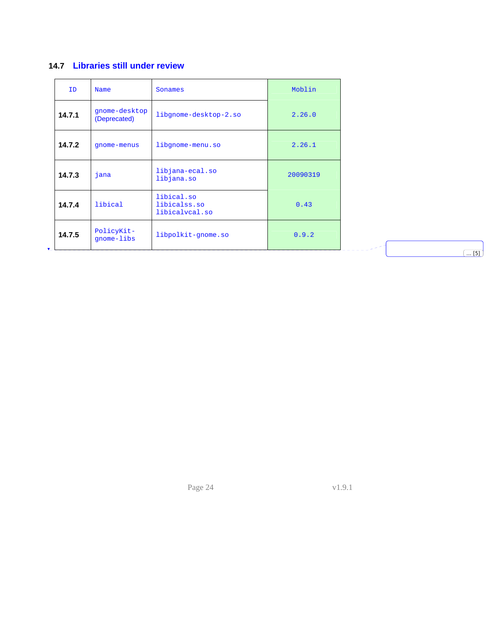## <span id="page-23-0"></span>**14.7 Libraries still under review**

<span id="page-23-1"></span>

| ID     | Name                          | Sonames                                      | Moblin   |
|--------|-------------------------------|----------------------------------------------|----------|
| 14.7.1 | gnome-desktop<br>(Deprecated) | libgnome-desktop-2.so<br>2.26.0              |          |
| 14.7.2 | gnome-menus                   | libgnome-menu.so                             | 2.26.1   |
| 14.7.3 | jana                          | libjana-ecal.so<br>libjana.so                | 20090319 |
| 14.7.4 | libical                       | libical.so<br>libicalss.so<br>libicalvcal.so | 0.43     |
| 14.7.5 | PolicyKit-<br>qnome-libs      | libpolkit-gnome.so                           | 0.9.2    |

Page 24 v1.9.1

 $\begin{array}{c} \begin{array}{c} \hline \end{array} \\ \hline \end{array}$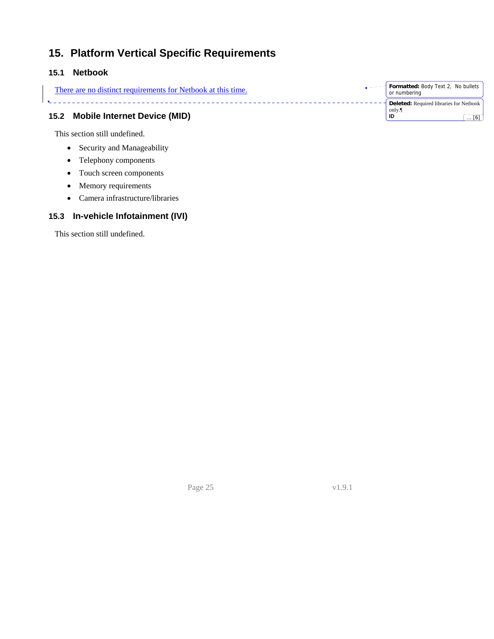# <span id="page-24-0"></span>**15. Platform Vertical Specific Requirements**

## <span id="page-24-1"></span>**15.1 Netbook**

<span id="page-24-2"></span>

|      | There are no distinct requirements for Netbook at this time. | <b>Formatted: Body Text 2, No bullets</b><br>or numbering            |
|------|--------------------------------------------------------------|----------------------------------------------------------------------|
| 15.2 | <b>Mobile Internet Device (MID)</b>                          | <b>Deleted:</b> Required libraries for Netbook<br>only.<br>ID<br>[6] |

• Security and Manageability

<span id="page-24-3"></span>This section still undefined.

- Telephony components
- Touch screen components
- Memory requirements
- Camera infrastructure/libraries

### **15.3 In-vehicle Infotainment (IVI)**

<span id="page-24-4"></span>This section still undefined.

Page 25 v1.9.1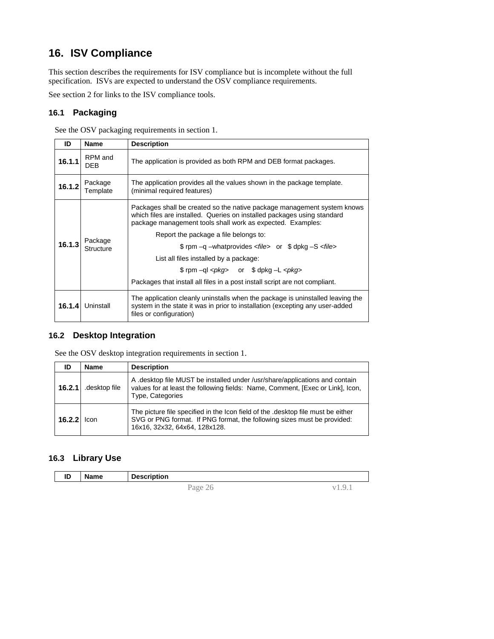# <span id="page-25-0"></span>**16. ISV Compliance**

<span id="page-25-1"></span>This section describes the requirements for ISV compliance but is incomplete without the full specification. ISVs are expected to understand the OSV compliance requirements.

See section [2](#page-4-4) for links to the ISV compliance tools.

#### **16.1 Packaging**

See the OSV packaging requirements in section [1](#page-8-2).

<span id="page-25-2"></span>

| ID     | <b>Name</b>          | <b>Description</b>                                                                                                                                                                                                                                                                                                             |  |  |
|--------|----------------------|--------------------------------------------------------------------------------------------------------------------------------------------------------------------------------------------------------------------------------------------------------------------------------------------------------------------------------|--|--|
| 16.1.1 | RPM and<br>DEB       | The application is provided as both RPM and DEB format packages.                                                                                                                                                                                                                                                               |  |  |
| 16.1.2 | Package<br>Template  | The application provides all the values shown in the package template.<br>(minimal required features)                                                                                                                                                                                                                          |  |  |
| 16.1.3 | Package<br>Structure | Packages shall be created so the native package management system knows<br>which files are installed. Queries on installed packages using standard<br>package management tools shall work as expected. Examples:<br>Report the package a file belongs to:<br>\$ rpm -q -whatprovides <file> or \$ dpkg -S <file></file></file> |  |  |
|        |                      | List all files installed by a package:<br>$$$ rpm $-q$ $<$ $pkq$ > or $$$ dpkg $-L$ $<$ $pkq$ ><br>Packages that install all files in a post install script are not compliant.                                                                                                                                                 |  |  |
| 16.1.4 | Uninstall            | The application cleanly uninstalls when the package is uninstalled leaving the<br>system in the state it was in prior to installation (excepting any user-added<br>files or configuration)                                                                                                                                     |  |  |

#### **16.2 Desktop Integration**

See the OSV desktop integration requirements in section [1](#page-9-2).

<span id="page-25-3"></span>

| ID     | Name          | <b>Description</b>                                                                                                                                                                           |
|--------|---------------|----------------------------------------------------------------------------------------------------------------------------------------------------------------------------------------------|
| 16.2.1 | .desktop file | A desktop file MUST be installed under /usr/share/applications and contain<br>values for at least the following fields: Name, Comment, [Exec or Link], Icon,<br>Type, Categories             |
| 16.2.2 | <b>Icon</b>   | The picture file specified in the Icon field of the .desktop file must be either<br>SVG or PNG format. If PNG format, the following sizes must be provided:<br>16x16, 32x32, 64x64, 128x128. |

#### **16.3 Library Use**

<span id="page-25-4"></span>

| m<br>שו | Name | <b>Description</b> |                |   |
|---------|------|--------------------|----------------|---|
|         |      |                    | Page<br>$\sim$ | . |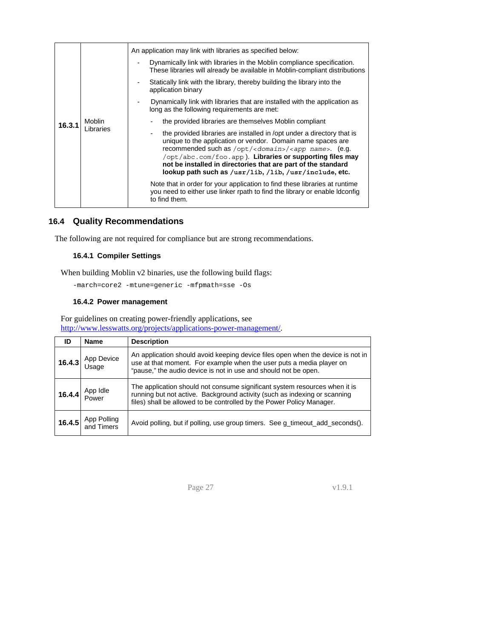<span id="page-26-0"></span>

|  |        | Moblin<br>Libraries | An application may link with libraries as specified below:                                                                                                                                                                                                                                                                                                                                                |  |  |  |
|--|--------|---------------------|-----------------------------------------------------------------------------------------------------------------------------------------------------------------------------------------------------------------------------------------------------------------------------------------------------------------------------------------------------------------------------------------------------------|--|--|--|
|  |        |                     | Dynamically link with libraries in the Moblin compliance specification.<br>These libraries will already be available in Moblin-compliant distributions                                                                                                                                                                                                                                                    |  |  |  |
|  | 16.3.1 |                     | Statically link with the library, thereby building the library into the<br>application binary                                                                                                                                                                                                                                                                                                             |  |  |  |
|  |        |                     | Dynamically link with libraries that are installed with the application as<br>long as the following requirements are met:                                                                                                                                                                                                                                                                                 |  |  |  |
|  |        |                     | the provided libraries are themselves Moblin compliant                                                                                                                                                                                                                                                                                                                                                    |  |  |  |
|  |        |                     | the provided libraries are installed in /opt under a directory that is<br>unique to the application or vendor. Domain name spaces are<br>recommended such as /opt/ <domain>/<app name="">. (e.g.<br/>/opt/abc.com/foo.app). Libraries or supporting files may<br/>not be installed in directories that are part of the standard<br/>lookup path such as /usr/lib, /lib, /usr/include, etc.</app></domain> |  |  |  |
|  |        |                     | Note that in order for your application to find these libraries at runtime<br>you need to either use linker rpath to find the library or enable Idconfig<br>to find them.                                                                                                                                                                                                                                 |  |  |  |

### **16.4 Quality Recommendations**

<span id="page-26-1"></span>The following are not required for compliance but are strong recommendations.

#### **16.4.1 Compiler Settings**

When building Moblin v2 binaries, use the following build flags:

-march=core2 -mtune=generic -mfpmath=sse -Os

#### **16.4.2 Power management**

For guidelines on creating power-friendly applications, see [http://www.lesswatts.org/projects/applications-power-management/.](http://www.lesswatts.org/projects/applications-power-management/)

| ID         | <b>Name</b>               | <b>Description</b>                                                              |
|------------|---------------------------|---------------------------------------------------------------------------------|
| App Device |                           | An application should avoid keeping device files open when the device is not in |
| 16.4.3     |                           | use at that moment. For example when the user puts a media player on            |
| Usage      |                           | "pause," the audio device is not in use and should not be open.                 |
| App Idle   |                           | The application should not consume significant system resources when it is      |
| 16.4.4     |                           | running but not active. Background activity (such as indexing or scanning       |
| Power      |                           | files) shall be allowed to be controlled by the Power Policy Manager.           |
| 16.4.5     | App Polling<br>and Timers | Avoid polling, but if polling, use group timers. See g_timeout_add_seconds().   |

Page 27 v1.9.1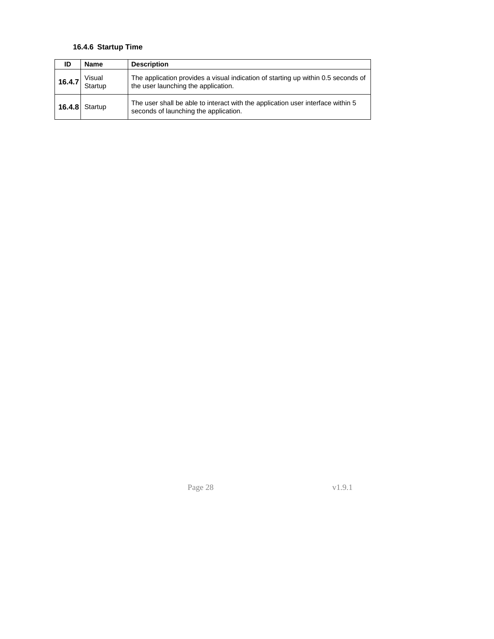#### **16.4.6 Startup Time**

| ID     | <b>Name</b>       | <b>Description</b>                                                                                                       |
|--------|-------------------|--------------------------------------------------------------------------------------------------------------------------|
| 16.4.7 | Visual<br>Startup | The application provides a visual indication of starting up within 0.5 seconds of<br>the user launching the application. |
|        | $16.4.8$ Startup  | The user shall be able to interact with the application user interface within 5<br>seconds of launching the application. |

Page 28 v1.9.1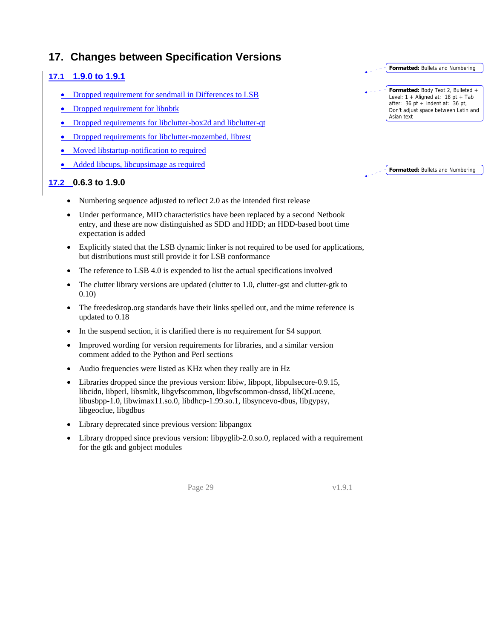## <span id="page-28-0"></span>**17. Changes between Specification Versions**

## <span id="page-28-2"></span><span id="page-28-1"></span>**17.1 1.9.0 to 1.9.1**

- Dropped requirement for sendmail in [Differences to LSB](#page-5-0)
- Dropped requirement for libnbtk
- Dropped requirements for libclutter-box2d and libclutter-qt
- Dropped requirements for libclutter-mozembed, librest
- Moved libstartup-notification to required
- Added libcups, libcupsimage as required

### <span id="page-28-3"></span>**17.2 0.6.3 to 1.9.0**

- Numbering sequence adjusted to reflect 2.0 as the intended first release
- Under performance, MID characteristics have been replaced by a second Netbook entry, and these are now distinguished as SDD and HDD; an HDD-based boot time expectation is added
- Explicitly stated that the LSB dynamic linker is not required to be used for applications, but distributions must still provide it for LSB conformance
- The reference to LSB 4.0 is expended to list the actual specifications involved
- The clutter library versions are updated (clutter to 1.0, clutter-gst and clutter-gtk to 0.10)
- The freedesktop.org standards have their links spelled out, and the mime reference is updated to 0.18
- In the suspend section, it is clarified there is no requirement for S4 support
- Improved wording for version requirements for libraries, and a similar version comment added to the Python and Perl sections
- Audio frequencies were listed as KHz when they really are in Hz
- Libraries dropped since the previous version: libiw, libpopt, libpulsecore-0.9.15, libcidn, libperl, libsmltk, libgvfscommon, libgvfscommon-dnssd, libQtLucene, libusbpp-1.0, libwimax11.so.0, libdhcp-1.99.so.1, libsyncevo-dbus, libgypsy, libgeoclue, libgdbus
- Library deprecated since previous version: libpangox
- Library dropped since previous version: libpyglib-2.0.so.0, replaced with a requirement for the gtk and gobject modules

Page 29 v1.9.1



| . ∠ Trormatted: Bullets and Numbering |  |
|---------------------------------------|--|
|                                       |  |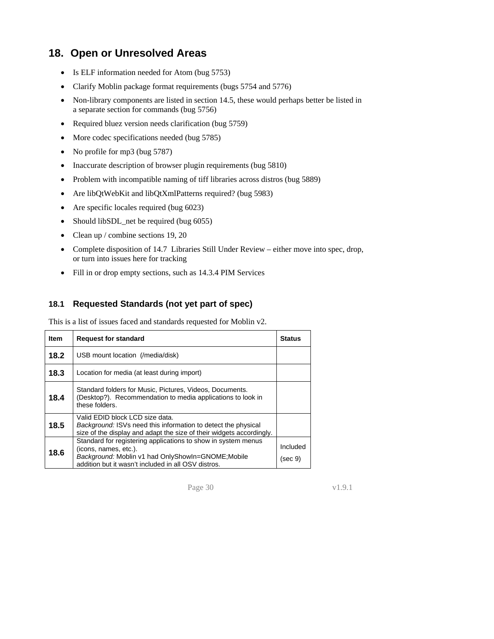# <span id="page-29-1"></span><span id="page-29-0"></span>**18. Open or Unresolved Areas**

- Is ELF information needed for Atom (bug 5753)
- Clarify Moblin package format requirements (bugs 5754 and 5776)
- Non-library components are listed in section 14.5, these would perhaps better be listed in a separate section for commands (bug 5756)
- Required bluez version needs clarification (bug 5759)
- More codec specifications needed (bug 5785)
- No profile for mp3 (bug 5787)
- Inaccurate description of browser plugin requirements (bug 5810)
- Problem with incompatible naming of tiff libraries across distros (bug 5889)
- Are libQtWebKit and libQtXmlPatterns required? (bug 5983)
- Are specific locales required (bug 6023)
- Should libSDL\_net be required (bug 6055)
- Clean up / combine sections 19, 20
- Complete disposition of 14.7 Libraries Still Under Review either move into spec, drop, or turn into issues here for tracking
- Fill in or drop empty sections, such as 14.3.4 PIM Services

#### **18.1 Requested Standards (not yet part of spec)**

This is a list of issues faced and standards requested for Moblin v2.

<span id="page-29-2"></span>

| Item | <b>Request for standard</b>                                                                                                                                                                         | <b>Status</b>       |
|------|-----------------------------------------------------------------------------------------------------------------------------------------------------------------------------------------------------|---------------------|
| 18.2 | USB mount location (/media/disk)                                                                                                                                                                    |                     |
| 18.3 | Location for media (at least during import)                                                                                                                                                         |                     |
| 18.4 | Standard folders for Music, Pictures, Videos, Documents.<br>(Desktop?). Recommendation to media applications to look in<br>these folders.                                                           |                     |
| 18.5 | Valid EDID block LCD size data.<br>Background: ISVs need this information to detect the physical<br>size of the display and adapt the size of their widgets accordingly.                            |                     |
| 18.6 | Standard for registering applications to show in system menus<br>(icons, names, etc.).<br>Background: Moblin v1 had OnlyShowIn=GNOME; Mobile<br>addition but it wasn't included in all OSV distros. | Included<br>(sec 9) |

Page 30 v1.9.1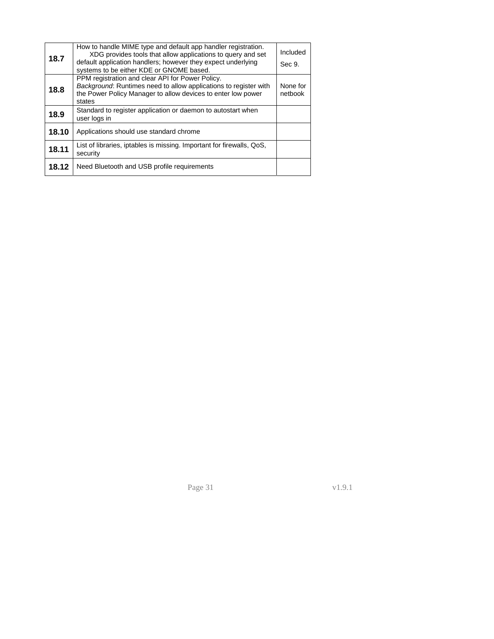| 18.7  | How to handle MIME type and default app handler registration.<br>XDG provides tools that allow applications to query and set<br>default application handlers; however they expect underlying<br>systems to be either KDE or GNOME based. | Included<br>Sec 9.  |
|-------|------------------------------------------------------------------------------------------------------------------------------------------------------------------------------------------------------------------------------------------|---------------------|
| 18.8  | PPM registration and clear API for Power Policy.<br>Background: Runtimes need to allow applications to register with<br>the Power Policy Manager to allow devices to enter low power<br>states                                           | None for<br>netbook |
| 18.9  | Standard to register application or daemon to autostart when<br>user logs in                                                                                                                                                             |                     |
| 18.10 | Applications should use standard chrome                                                                                                                                                                                                  |                     |
| 18.11 | List of libraries, iptables is missing. Important for firewalls, QoS,<br>security                                                                                                                                                        |                     |
| 18.12 | Need Bluetooth and USB profile requirements                                                                                                                                                                                              |                     |

Page 31 v1.9.1